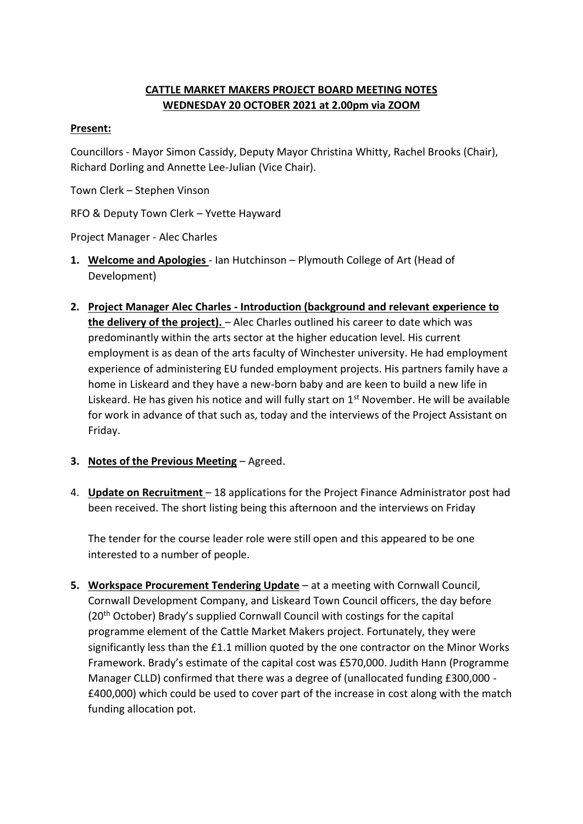## **CATTLE MARKET MAKERS PROJECT BOARD MEETING NOTES WEDNESDAY 20 OCTOBER 2021 at 2.00pm via ZOOM**

## **Present:**

Councillors - Mayor Simon Cassidy, Deputy Mayor Christina Whitty, Rachel Brooks (Chair), Richard Dorling and Annette Lee-Julian (Vice Chair).

Town Clerk – Stephen Vinson

RFO & Deputy Town Clerk – Yvette Hayward

Project Manager - Alec Charles

- **1. Welcome and Apologies** Ian Hutchinson Plymouth College of Art (Head of Development)
- **2. Project Manager Alec Charles - Introduction (background and relevant experience to the delivery of the project).** – Alec Charles outlined his career to date which was predominantly within the arts sector at the higher education level. His current employment is as dean of the arts faculty of Winchester university. He had employment experience of administering EU funded employment projects. His partners family have a home in Liskeard and they have a new-born baby and are keen to build a new life in Liskeard. He has given his notice and will fully start on  $1<sup>st</sup>$  November. He will be available for work in advance of that such as, today and the interviews of the Project Assistant on Friday.
- **3. Notes of the Previous Meeting** Agreed.
- 4. **Update on Recruitment** 18 applications for the Project Finance Administrator post had been received. The short listing being this afternoon and the interviews on Friday

The tender for the course leader role were still open and this appeared to be one interested to a number of people.

**5. Workspace Procurement Tendering Update** – at a meeting with Cornwall Council, Cornwall Development Company, and Liskeard Town Council officers, the day before (20th October) Brady's supplied Cornwall Council with costings for the capital programme element of the Cattle Market Makers project. Fortunately, they were significantly less than the £1.1 million quoted by the one contractor on the Minor Works Framework. Brady's estimate of the capital cost was £570,000. Judith Hann (Programme Manager CLLD) confirmed that there was a degree of (unallocated funding £300,000 - £400,000) which could be used to cover part of the increase in cost along with the match funding allocation pot.